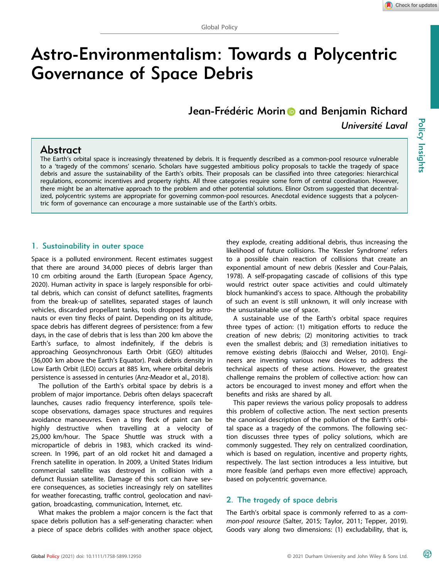# Astro-Environmentalism: Towards a Polycentric Governance of Space Debris

Jea[n](https://orcid.org/0000-0003-1053-5597)-Frédéric Morin **and Benjamin Richard** Université Laval

## Abstract

The Earth's orbital space is increasingly threatened by debris. It is frequently described as a common-pool resource vulnerable to a 'tragedy of the commons' scenario. Scholars have suggested ambitious policy proposals to tackle the tragedy of space debris and assure the sustainability of the Earth's orbits. Their proposals can be classified into three categories: hierarchical regulations, economic incentives and property rights. All three categories require some form of central coordination. However, there might be an alternative approach to the problem and other potential solutions. Elinor Ostrom suggested that decentralized, polycentric systems are appropriate for governing common-pool resources. Anecdotal evidence suggests that a polycentric form of governance can encourage a more sustainable use of the Earth's orbits.

## 1. Sustainability in outer space

Space is a polluted environment. Recent estimates suggest that there are around 34,000 pieces of debris larger than 10 cm orbiting around the Earth (European Space Agency, 2020). Human activity in space is largely responsible for orbital debris, which can consist of defunct satellites, fragments from the break-up of satellites, separated stages of launch vehicles, discarded propellant tanks, tools dropped by astronauts or even tiny flecks of paint. Depending on its altitude, space debris has different degrees of persistence: from a few days, in the case of debris that is less than 200 km above the Earth's surface, to almost indefinitely, if the debris is approaching Geosynchronous Earth Orbit (GEO) altitudes (36,000 km above the Earth's Equator). Peak debris density in Low Earth Orbit (LEO) occurs at 885 km, where orbital debris persistence is assessed in centuries (Anz-Meador et al., 2018).

The pollution of the Earth's orbital space by debris is a problem of major importance. Debris often delays spacecraft launches, causes radio frequency interference, spoils telescope observations, damages space structures and requires avoidance manoeuvres. Even a tiny fleck of paint can be highly destructive when travelling at a velocity of 25,000 km/hour. The Space Shuttle was struck with a microparticle of debris in 1983, which cracked its windscreen. In 1996, part of an old rocket hit and damaged a French satellite in operation. In 2009, a United States Iridium commercial satellite was destroyed in collision with a defunct Russian satellite. Damage of this sort can have severe consequences, as societies increasingly rely on satellites for weather forecasting, traffic control, geolocation and navigation, broadcasting, communication, Internet, etc.

What makes the problem a major concern is the fact that space debris pollution has a self-generating character: when a piece of space debris collides with another space object,

they explode, creating additional debris, thus increasing the likelihood of future collisions. The 'Kessler Syndrome' refers to a possible chain reaction of collisions that create an exponential amount of new debris (Kessler and Cour-Palais, 1978). A self-propagating cascade of collisions of this type would restrict outer space activities and could ultimately block humankind's access to space. Although the probability of such an event is still unknown, it will only increase with the unsustainable use of space.

A sustainable use of the Earth's orbital space requires three types of action: (1) mitigation efforts to reduce the creation of new debris; (2) monitoring activities to track even the smallest debris; and (3) remediation initiatives to remove existing debris (Baiocchi and Welser, 2010). Engineers are inventing various new devices to address the technical aspects of these actions. However, the greatest challenge remains the problem of collective action: how can actors be encouraged to invest money and effort when the benefits and risks are shared by all.

This paper reviews the various policy proposals to address this problem of collective action. The next section presents the canonical description of the pollution of the Earth's orbital space as a tragedy of the commons. The following section discusses three types of policy solutions, which are commonly suggested. They rely on centralized coordination, which is based on regulation, incentive and property rights, respectively. The last section introduces a less intuitive, but more feasible (and perhaps even more effective) approach, based on polycentric governance.

## 2. The tragedy of space debris

The Earth's orbital space is commonly referred to as a common-pool resource (Salter, 2015; Taylor, 2011; Tepper, 2019). Goods vary along two dimensions: (1) excludability, that is,

௵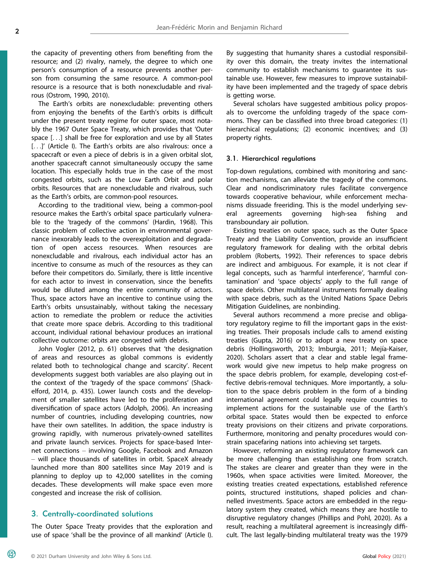the capacity of preventing others from benefiting from the resource; and (2) rivalry, namely, the degree to which one person's consumption of a resource prevents another person from consuming the same resource. A common-pool resource is a resource that is both nonexcludable and rivalrous (Ostrom, 1990, 2010).

The Earth's orbits are nonexcludable: preventing others from enjoying the benefits of the Earth's orbits is difficult under the present treaty regime for outer space, most notably the 1967 Outer Space Treaty, which provides that 'Outer space [...] shall be free for exploration and use by all States [...]' (Article I). The Earth's orbits are also rivalrous: once a spacecraft or even a piece of debris is in a given orbital slot, another spacecraft cannot simultaneously occupy the same location. This especially holds true in the case of the most congested orbits, such as the Low Earth Orbit and polar orbits. Resources that are nonexcludable and rivalrous, such as the Earth's orbits, are common-pool resources.

According to the traditional view, being a common-pool resource makes the Earth's orbital space particularly vulnerable to the 'tragedy of the commons' (Hardin, 1968). This classic problem of collective action in environmental governance inexorably leads to the overexploitation and degradation of open access resources. When resources are nonexcludable and rivalrous, each individual actor has an incentive to consume as much of the resources as they can before their competitors do. Similarly, there is little incentive for each actor to invest in conservation, since the benefits would be diluted among the entire community of actors. Thus, space actors have an incentive to continue using the Earth's orbits unsustainably, without taking the necessary action to remediate the problem or reduce the activities that create more space debris. According to this traditional account, individual rational behaviour produces an irrational collective outcome: orbits are congested with debris.

John Vogler (2012, p. 61) observes that 'the designation of areas and resources as global commons is evidently related both to technological change and scarcity'. Recent developments suggest both variables are also playing out in the context of the 'tragedy of the space commons' (Shackelford, 2014, p. 435). Lower launch costs and the development of smaller satellites have led to the proliferation and diversification of space actors (Adolph, 2006). An increasing number of countries, including developing countries, now have their own satellites. In addition, the space industry is growing rapidly, with numerous privately-owned satellites and private launch services. Projects for space-based Internet connections – involving Google, Facebook and Amazon – will place thousands of satellites in orbit. SpaceX already launched more than 800 satellites since May 2019 and is planning to deploy up to 42,000 satellites in the coming decades. These developments will make space even more congested and increase the risk of collision.

## 3. Centrally-coordinated solutions

The Outer Space Treaty provides that the exploration and use of space 'shall be the province of all mankind' (Article I).

By suggesting that humanity shares a custodial responsibility over this domain, the treaty invites the international community to establish mechanisms to guarantee its sustainable use. However, few measures to improve sustainability have been implemented and the tragedy of space debris is getting worse.

Several scholars have suggested ambitious policy proposals to overcome the unfolding tragedy of the space commons. They can be classified into three broad categories: (1) hierarchical regulations; (2) economic incentives; and (3) property rights.

#### 3.1. Hierarchical regulations

Top-down regulations, combined with monitoring and sanction mechanisms, can alleviate the tragedy of the commons. Clear and nondiscriminatory rules facilitate convergence towards cooperative behaviour, while enforcement mechanisms dissuade freeriding. This is the model underlying several agreements governing high-sea fishing and transboundary air pollution.

Existing treaties on outer space, such as the Outer Space Treaty and the Liability Convention, provide an insufficient regulatory framework for dealing with the orbital debris problem (Roberts, 1992). Their references to space debris are indirect and ambiguous. For example, it is not clear if legal concepts, such as 'harmful interference', 'harmful contamination' and 'space objects' apply to the full range of space debris. Other multilateral instruments formally dealing with space debris, such as the United Nations Space Debris Mitigation Guidelines, are nonbinding.

Several authors recommend a more precise and obligatory regulatory regime to fill the important gaps in the existing treaties. Their proposals include calls to amend existing treaties (Gupta, 2016) or to adopt a new treaty on space debris (Hollingsworth, 2013; Imburgia, 2011; Mejía-Kaiser, 2020). Scholars assert that a clear and stable legal framework would give new impetus to help make progress on the space debris problem, for example, developing cost-effective debris-removal techniques. More importantly, a solution to the space debris problem in the form of a binding international agreement could legally require countries to implement actions for the sustainable use of the Earth's orbital space. States would then be expected to enforce treaty provisions on their citizens and private corporations. Furthermore, monitoring and penalty procedures would constrain spacefaring nations into achieving set targets.

However, reforming an existing regulatory framework can be more challenging than establishing one from scratch. The stakes are clearer and greater than they were in the 1960s, when space activities were limited. Moreover, the existing treaties created expectations, established reference points, structured institutions, shaped policies and channelled investments. Space actors are embedded in the regulatory system they created, which means they are hostile to disruptive regulatory changes (Phillips and Pohl, 2020). As a result, reaching a multilateral agreement is increasingly difficult. The last legally-binding multilateral treaty was the 1979

മ്ര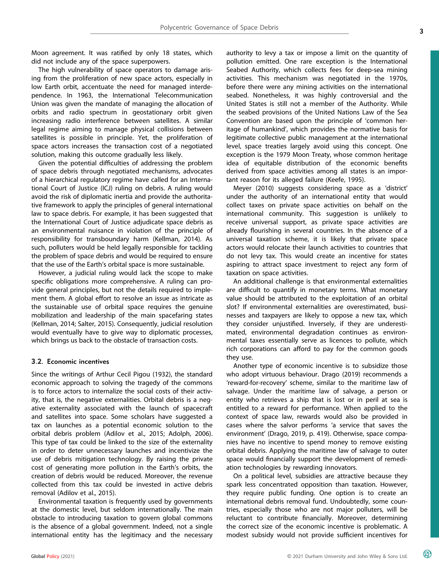Moon agreement. It was ratified by only 18 states, which did not include any of the space superpowers.

The high vulnerability of space operators to damage arising from the proliferation of new space actors, especially in low Earth orbit, accentuate the need for managed interdependence. In 1963, the International Telecommunication Union was given the mandate of managing the allocation of orbits and radio spectrum in geostationary orbit given increasing radio interference between satellites. A similar legal regime aiming to manage physical collisions between satellites is possible in principle. Yet, the proliferation of space actors increases the transaction cost of a negotiated solution, making this outcome gradually less likely.

Given the potential difficulties of addressing the problem of space debris through negotiated mechanisms, advocates of a hierarchical regulatory regime have called for an International Court of Justice (ICJ) ruling on debris. A ruling would avoid the risk of diplomatic inertia and provide the authoritative framework to apply the principles of general international law to space debris. For example, it has been suggested that the International Court of Justice adjudicate space debris as an environmental nuisance in violation of the principle of responsibility for transboundary harm (Kellman, 2014). As such, polluters would be held legally responsible for tackling the problem of space debris and would be required to ensure that the use of the Earth's orbital space is more sustainable.

However, a judicial ruling would lack the scope to make specific obligations more comprehensive. A ruling can provide general principles, but not the details required to implement them. A global effort to resolve an issue as intricate as the sustainable use of orbital space requires the genuine mobilization and leadership of the main spacefaring states (Kellman, 2014; Salter, 2015). Consequently, judicial resolution would eventually have to give way to diplomatic processes, which brings us back to the obstacle of transaction costs.

#### 3.2. Economic incentives

Since the writings of Arthur Cecil Pigou (1932), the standard economic approach to solving the tragedy of the commons is to force actors to internalize the social costs of their activity, that is, the negative externalities. Orbital debris is a negative externality associated with the launch of spacecraft and satellites into space. Some scholars have suggested a tax on launches as a potential economic solution to the orbital debris problem (Adilov et al., 2015; Adolph, 2006). This type of tax could be linked to the size of the externality in order to deter unnecessary launches and incentivize the use of debris mitigation technology. By raising the private cost of generating more pollution in the Earth's orbits, the creation of debris would be reduced. Moreover, the revenue collected from this tax could be invested in active debris removal (Adilov et al., 2015).

Environmental taxation is frequently used by governments at the domestic level, but seldom internationally. The main obstacle to introducing taxation to govern global commons is the absence of a global government. Indeed, not a single international entity has the legitimacy and the necessary authority to levy a tax or impose a limit on the quantity of pollution emitted. One rare exception is the International Seabed Authority, which collects fees for deep-sea mining activities. This mechanism was negotiated in the 1970s, before there were any mining activities on the international seabed. Nonetheless, it was highly controversial and the United States is still not a member of the Authority. While the seabed provisions of the United Nations Law of the Sea Convention are based upon the principle of 'common heritage of humankind', which provides the normative basis for legitimate collective public management at the international level, space treaties largely avoid using this concept. One exception is the 1979 Moon Treaty, whose common heritage idea of equitable distribution of the economic benefits derived from space activities among all states is an important reason for its alleged failure (Keefe, 1995).

Meyer (2010) suggests considering space as a 'district' under the authority of an international entity that would collect taxes on private space activities on behalf on the international community. This suggestion is unlikely to receive universal support, as private space activities are already flourishing in several countries. In the absence of a universal taxation scheme, it is likely that private space actors would relocate their launch activities to countries that do not levy tax. This would create an incentive for states aspiring to attract space investment to reject any form of taxation on space activities.

An additional challenge is that environmental externalities are difficult to quantify in monetary terms. What monetary value should be attributed to the exploitation of an orbital slot? If environmental externalities are overestimated, businesses and taxpayers are likely to oppose a new tax, which they consider unjustified. Inversely, if they are underestimated, environmental degradation continues as environmental taxes essentially serve as licences to pollute, which rich corporations can afford to pay for the common goods they use.

Another type of economic incentive is to subsidize those who adopt virtuous behaviour. Drago (2019) recommends a 'reward-for-recovery' scheme, similar to the maritime law of salvage. Under the maritime law of salvage, a person or entity who retrieves a ship that is lost or in peril at sea is entitled to a reward for performance. When applied to the context of space law, rewards would also be provided in cases where the salvor performs 'a service that saves the environment' (Drago, 2019, p. 419). Otherwise, space companies have no incentive to spend money to remove existing orbital debris. Applying the maritime law of salvage to outer space would financially support the development of remediation technologies by rewarding innovators.

On a political level, subsidies are attractive because they spark less concentrated opposition than taxation. However, they require public funding. One option is to create an international debris removal fund. Undoubtedly, some countries, especially those who are not major polluters, will be reluctant to contribute financially. Moreover, determining the correct size of the economic incentive is problematic. A modest subsidy would not provide sufficient incentives for

 $\circledR$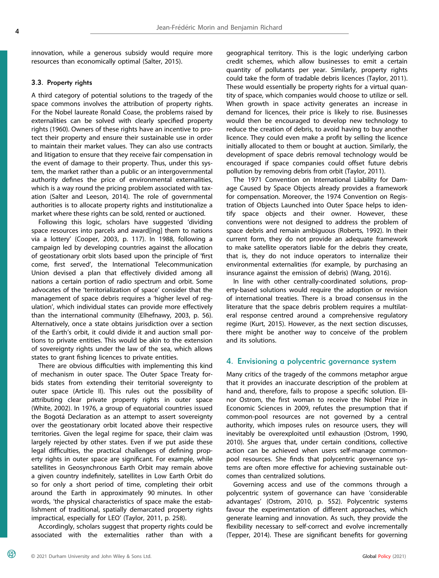innovation, while a generous subsidy would require more resources than economically optimal (Salter, 2015).

#### 3.3. Property rights

A third category of potential solutions to the tragedy of the space commons involves the attribution of property rights. For the Nobel laureate Ronald Coase, the problems raised by externalities can be solved with clearly specified property rights (1960). Owners of these rights have an incentive to protect their property and ensure their sustainable use in order to maintain their market values. They can also use contracts and litigation to ensure that they receive fair compensation in the event of damage to their property. Thus, under this system, the market rather than a public or an intergovernmental authority defines the price of environmental externalities, which is a way round the pricing problem associated with taxation (Salter and Leeson, 2014). The role of governmental authorities is to allocate property rights and institutionalize a market where these rights can be sold, rented or auctioned.

Following this logic, scholars have suggested 'dividing space resources into parcels and award[ing] them to nations via a lottery' (Cooper, 2003, p. 117). In 1988, following a campaign led by developing countries against the allocation of geostationary orbit slots based upon the principle of 'first come, first served', the International Telecommunication Union devised a plan that effectively divided among all nations a certain portion of radio spectrum and orbit. Some advocates of the 'territorialization of space' consider that the management of space debris requires a 'higher level of regulation', which individual states can provide more effectively than the international community (Elhefnawy, 2003, p. 56). Alternatively, once a state obtains jurisdiction over a section of the Earth's orbit, it could divide it and auction small portions to private entities. This would be akin to the extension of sovereignty rights under the law of the sea, which allows states to grant fishing licences to private entities.

There are obvious difficulties with implementing this kind of mechanism in outer space. The Outer Space Treaty forbids states from extending their territorial sovereignty to outer space (Article II). This rules out the possibility of attributing clear private property rights in outer space (White, 2002). In 1976, a group of equatorial countries issued the Bogota Declaration as an attempt to assert sovereignty over the geostationary orbit located above their respective territories. Given the legal regime for space, their claim was largely rejected by other states. Even if we put aside these legal difficulties, the practical challenges of defining property rights in outer space are significant. For example, while satellites in Geosynchronous Earth Orbit may remain above a given country indefinitely, satellites in Low Earth Orbit do so for only a short period of time, completing their orbit around the Earth in approximately 90 minutes. In other words, 'the physical characteristics of space make the establishment of traditional, spatially demarcated property rights impractical, especially for LEO' (Taylor, 2011, p. 258).

Accordingly, scholars suggest that property rights could be associated with the externalities rather than with a geographical territory. This is the logic underlying carbon credit schemes, which allow businesses to emit a certain quantity of pollutants per year. Similarly, property rights could take the form of tradable debris licences (Taylor, 2011). These would essentially be property rights for a virtual quantity of space, which companies would choose to utilize or sell. When growth in space activity generates an increase in demand for licences, their price is likely to rise. Businesses would then be encouraged to develop new technology to reduce the creation of debris, to avoid having to buy another licence. They could even make a profit by selling the licence initially allocated to them or bought at auction. Similarly, the development of space debris removal technology would be encouraged if space companies could offset future debris pollution by removing debris from orbit (Taylor, 2011).

The 1971 Convention on International Liability for Damage Caused by Space Objects already provides a framework for compensation. Moreover, the 1974 Convention on Registration of Objects Launched into Outer Space helps to identify space objects and their owner. However, these conventions were not designed to address the problem of space debris and remain ambiguous (Roberts, 1992). In their current form, they do not provide an adequate framework to make satellite operators liable for the debris they create, that is, they do not induce operators to internalize their environmental externalities (for example, by purchasing an insurance against the emission of debris) (Wang, 2016).

In line with other centrally-coordinated solutions, property-based solutions would require the adoption or revision of international treaties. There is a broad consensus in the literature that the space debris problem requires a multilateral response centred around a comprehensive regulatory regime (Kurt, 2015). However, as the next section discusses, there might be another way to conceive of the problem and its solutions.

#### 4. Envisioning a polycentric governance system

Many critics of the tragedy of the commons metaphor argue that it provides an inaccurate description of the problem at hand and, therefore, fails to propose a specific solution. Elinor Ostrom, the first woman to receive the Nobel Prize in Economic Sciences in 2009, refutes the presumption that if common-pool resources are not governed by a central authority, which imposes rules on resource users, they will inevitably be overexploited until exhaustion (Ostrom, 1990, 2010). She argues that, under certain conditions, collective action can be achieved when users self-manage commonpool resources. She finds that polycentric governance systems are often more effective for achieving sustainable outcomes than centralized solutions.

Governing access and use of the commons through a polycentric system of governance can have 'considerable advantages' (Ostrom, 2010, p. 552). Polycentric systems favour the experimentation of different approaches, which generate learning and innovation. As such, they provide the flexibility necessary to self-correct and evolve incrementally (Tepper, 2014). These are significant benefits for governing

 $^{\circledR}$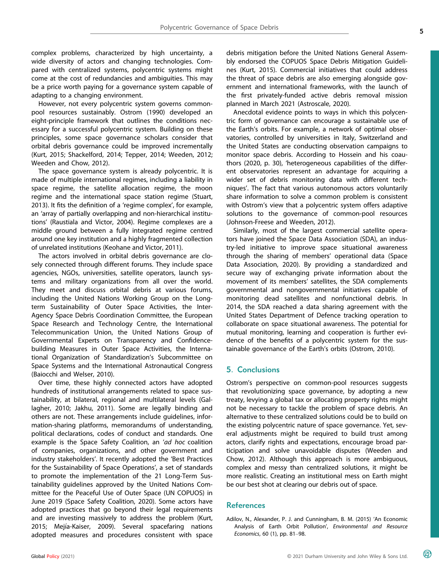complex problems, characterized by high uncertainty, a wide diversity of actors and changing technologies. Compared with centralized systems, polycentric systems might come at the cost of redundancies and ambiguities. This may be a price worth paying for a governance system capable of adapting to a changing environment.

However, not every polycentric system governs commonpool resources sustainably. Ostrom (1990) developed an eight-principle framework that outlines the conditions necessary for a successful polycentric system. Building on these principles, some space governance scholars consider that orbital debris governance could be improved incrementally (Kurt, 2015; Shackelford, 2014; Tepper, 2014; Weeden, 2012; Weeden and Chow, 2012).

The space governance system is already polycentric. It is made of multiple international regimes, including a liability in space regime, the satellite allocation regime, the moon regime and the international space station regime (Stuart, 2013). It fits the definition of a 'regime complex', for example, an 'array of partially overlapping and non-hierarchical institutions' (Raustiala and Victor, 2004). Regime complexes are a middle ground between a fully integrated regime centred around one key institution and a highly fragmented collection of unrelated institutions (Keohane and Victor, 2011).

The actors involved in orbital debris governance are closely connected through different forums. They include space agencies, NGOs, universities, satellite operators, launch systems and military organizations from all over the world. They meet and discuss orbital debris at various forums, including the United Nations Working Group on the Longterm Sustainability of Outer Space Activities, the Inter-Agency Space Debris Coordination Committee, the European Space Research and Technology Centre, the International Telecommunication Union, the United Nations Group of Governmental Experts on Transparency and Confidencebuilding Measures in Outer Space Activities, the International Organization of Standardization's Subcommittee on Space Systems and the International Astronautical Congress (Baiocchi and Welser, 2010).

Over time, these highly connected actors have adopted hundreds of institutional arrangements related to space sustainability, at bilateral, regional and multilateral levels (Gallagher, 2010; Jakhu, 2011). Some are legally binding and others are not. These arrangements include guidelines, information-sharing platforms, memorandums of understanding, political declarations, codes of conduct and standards. One example is the Space Safety Coalition, an 'ad hoc coalition of companies, organizations, and other government and industry stakeholders'. It recently adopted the 'Best Practices for the Sustainability of Space Operations', a set of standards to promote the implementation of the 21 Long-Term Sustainability guidelines approved by the United Nations Committee for the Peaceful Use of Outer Space (UN COPUOS) in June 2019 (Space Safety Coalition, 2020). Some actors have adopted practices that go beyond their legal requirements and are investing massively to address the problem (Kurt, 2015; Mejía-Kaiser, 2009). Several spacefaring nations adopted measures and procedures consistent with space

debris mitigation before the United Nations General Assembly endorsed the COPUOS Space Debris Mitigation Guidelines (Kurt, 2015). Commercial initiatives that could address the threat of space debris are also emerging alongside government and international frameworks, with the launch of the first privately-funded active debris removal mission planned in March 2021 (Astroscale, 2020).

Anecdotal evidence points to ways in which this polycentric form of governance can encourage a sustainable use of the Earth's orbits. For example, a network of optimal observatories, controlled by universities in Italy, Switzerland and the United States are conducting observation campaigns to monitor space debris. According to Hossein and his coauthors (2020, p. 30), 'heterogeneous capabilities of the different observatories represent an advantage for acquiring a wider set of debris monitoring data with different techniques'. The fact that various autonomous actors voluntarily share information to solve a common problem is consistent with Ostrom's view that a polycentric system offers adaptive solutions to the governance of common-pool resources (Johnson-Freese and Weeden, 2012).

Similarly, most of the largest commercial satellite operators have joined the Space Data Association (SDA), an industry-led initiative to improve space situational awareness through the sharing of members' operational data (Space Data Association, 2020). By providing a standardized and secure way of exchanging private information about the movement of its members' satellites, the SDA complements governmental and nongovernmental initiatives capable of monitoring dead satellites and nonfunctional debris. In 2014, the SDA reached a data sharing agreement with the United States Department of Defence tracking operation to collaborate on space situational awareness. The potential for mutual monitoring, learning and cooperation is further evidence of the benefits of a polycentric system for the sustainable governance of the Earth's orbits (Ostrom, 2010).

## 5. Conclusions

Ostrom's perspective on common-pool resources suggests that revolutionizing space governance, by adopting a new treaty, levying a global tax or allocating property rights might not be necessary to tackle the problem of space debris. An alternative to these centralized solutions could be to build on the existing polycentric nature of space governance. Yet, several adjustments might be required to build trust among actors, clarify rights and expectations, encourage broad participation and solve unavoidable disputes (Weeden and Chow, 2012). Although this approach is more ambiguous, complex and messy than centralized solutions, it might be more realistic. Creating an institutional mess on Earth might be our best shot at clearing our debris out of space.

## References

Adilov, N., Alexander, P. J. and Cunningham, B. M. (2015) 'An Economic Analysis of Earth Orbit Pollution', Environmental and Resource Economics, 60 (1), pp. 81–98.

മ